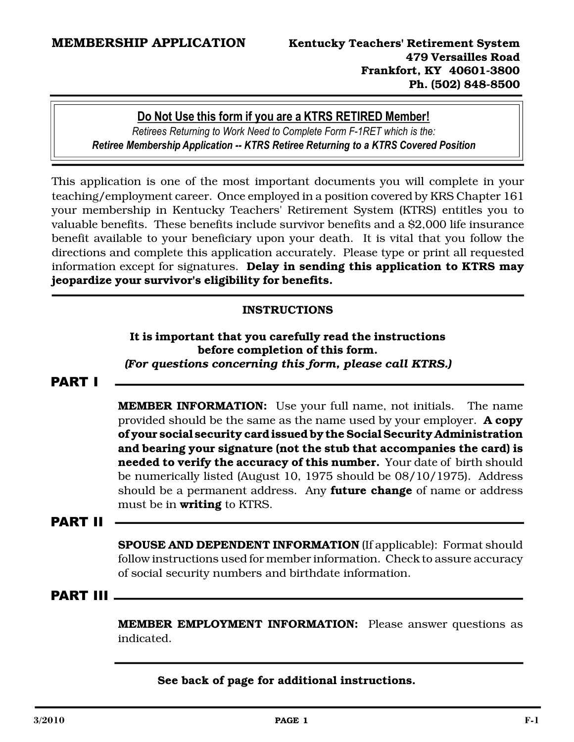## **Do Not Use this form if you are a KTRS RETIRED Member!**

*Retirees Returning to Work Need to Complete Form F1RET which is the: Retiree Membership Application KTRS Retiree Returning to a KTRS Covered Position* 

This application is one of the most important documents you will complete in your teaching/employment career. Once employed in a position covered by KRS Chapter 161 your membership in Kentucky Teachers' Retirement System (KTRS) entitles you to valuable benefits. These benefits include survivor benefits and a \$2,000 life insurance benefit available to your beneficiary upon your death. It is vital that you follow the directions and complete this application accurately. Please type or print all requested information except for signatures. Delay in sending this application to KTRS may jeopardize your survivor's eligibility for benefits.

## INSTRUCTIONS

#### It is important that you carefully read the instructions before completion of this form. *(For questions concerning this form, please call KTRS.)*

## PART I

MEMBER INFORMATION: Use your full name, not initials. The name provided should be the same as the name used by your employer. **A copy** of your social security card issued by the Social Security Administration and bearing your signature (not the stub that accompanies the card) is needed to verify the accuracy of this number. Your date of birth should be numerically listed (August 10, 1975 should be 08/10/1975). Address should be a permanent address. Any **future change** of name or address must be in writing to KTRS.

## PART II

SPOUSE AND DEPENDENT INFORMATION (If applicable): Format should follow instructions used for member information. Check to assure accuracy of social security numbers and birthdate information.

#### PART III

MEMBER EMPLOYMENT INFORMATION: Please answer questions as indicated.

See back of page for additional instructions.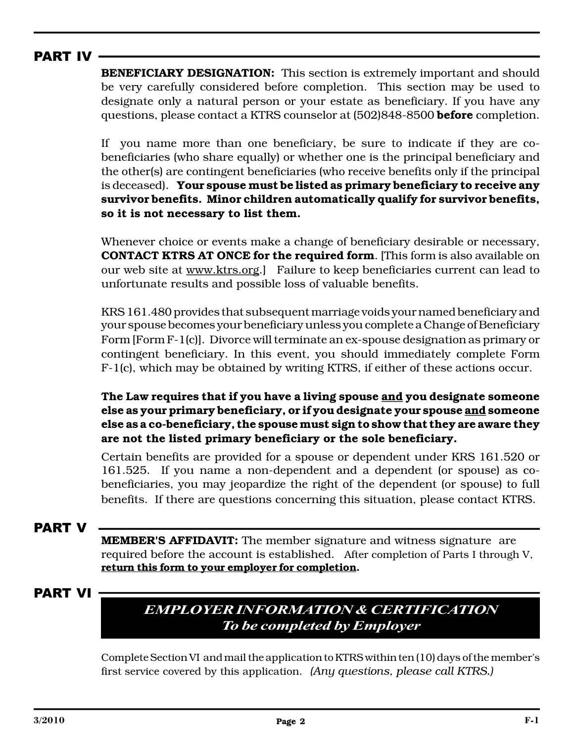## PART IV

BENEFICIARY DESIGNATION: This section is extremely important and should be very carefully considered before completion. This section may be used to designate only a natural person or your estate as beneficiary. If you have any questions, please contact a KTRS counselor at (502)848-8500 **before** completion.

If you name more than one beneficiary, be sure to indicate if they are cobeneficiaries (who share equally) or whether one is the principal beneficiary and the other(s) are contingent beneficiaries (who receive benefits only if the principal is deceased). Your spouse must be listed as primary beneficiary to receive any survivor benefits. Minor children automatically qualify for survivor benefits, so it is not necessary to list them.

Whenever choice or events make a change of beneficiary desirable or necessary, CONTACT KTRS AT ONCE for the required form. [This form is also available on our web site at www.ktrs.org.] Failure to keep beneficiaries current can lead to unfortunate results and possible loss of valuable benefits.

KRS 161.480 provides that subsequent marriage voids your named beneficiary and your spouse becomes your beneficiary unless you complete a Change of Beneficiary Form [Form F-1(c)]. Divorce will terminate an ex-spouse designation as primary or contingent beneficiary. In this event, you should immediately complete Form F-1(c), which may be obtained by writing KTRS, if either of these actions occur.

The Law requires that if you have a living spouse and you designate someone else as your primary beneficiary, or if you designate your spouse and someone else as a co-beneficiary, the spouse must sign to show that they are aware they are not the listed primary beneficiary or the sole beneficiary.

Certain benefits are provided for a spouse or dependent under KRS 161.520 or 161.525. If you name a non-dependent and a dependent (or spouse) as cobeneficiaries, you may jeopardize the right of the dependent (or spouse) to full benefits. If there are questions concerning this situation, please contact KTRS.

## PART V

MEMBER'S AFFIDAVIT: The member signature and witness signature are required before the account is established. After completion of Parts I through V, return this form to your employer for completion.

## PART VI

# *EMPLOYERINFORMATION&CERTIFICATION To be completed byEmployer*

Complete Section VI and mail the application to KTRS within ten (10) days of the member's first service covered by this application. *(Any questions, please call KTRS.)*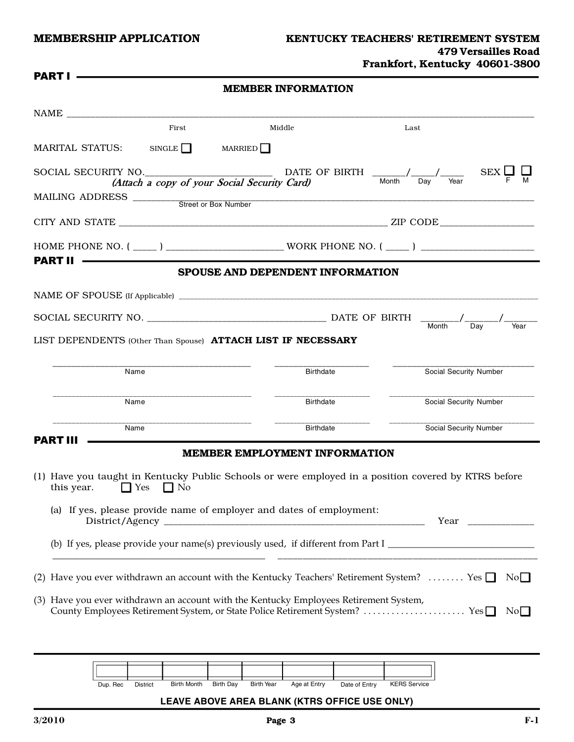#### MEMBERSHIP APPLICATION KENTUCKY TEACHERS' RETIREMENT SYSTEM 479 Versailles Road Frankfort, Kentucky 40601-3800

| <b>PART I</b>                  |                      | <b>MEMBER INFORMATION</b>                                            |                                                                                                                                        |      |  |  |
|--------------------------------|----------------------|----------------------------------------------------------------------|----------------------------------------------------------------------------------------------------------------------------------------|------|--|--|
|                                |                      |                                                                      |                                                                                                                                        |      |  |  |
|                                | First                | Middle                                                               | Last                                                                                                                                   |      |  |  |
| MARITAL STATUS: SINGLE MARRIED |                      |                                                                      |                                                                                                                                        |      |  |  |
|                                |                      |                                                                      | SOCIAL SECURITY NO.<br>(Attach a copy of your Social Security Card) Month $\frac{1}{\text{Month}}$ Day Year SEX $\frac{1}{\text{F}}$ M |      |  |  |
|                                |                      |                                                                      |                                                                                                                                        |      |  |  |
|                                |                      |                                                                      |                                                                                                                                        |      |  |  |
|                                |                      |                                                                      |                                                                                                                                        |      |  |  |
| <b>PART II</b> ———————         |                      | SPOUSE AND DEPENDENT INFORMATION                                     |                                                                                                                                        |      |  |  |
|                                |                      |                                                                      |                                                                                                                                        |      |  |  |
|                                |                      |                                                                      |                                                                                                                                        |      |  |  |
|                                |                      |                                                                      |                                                                                                                                        |      |  |  |
|                                |                      | LIST DEPENDENTS (Other Than Spouse) ATTACH LIST IF NECESSARY         | <b>Month</b><br>Day                                                                                                                    | Year |  |  |
|                                |                      |                                                                      |                                                                                                                                        |      |  |  |
| Name                           |                      | <b>Birthdate</b>                                                     | Social Security Number                                                                                                                 |      |  |  |
| Name                           |                      | <b>Birthdate</b>                                                     | Social Security Number                                                                                                                 |      |  |  |
| Name                           |                      | Birthdate                                                            | Social Security Number                                                                                                                 |      |  |  |
| PART III                       |                      | <b>MEMBER EMPLOYMENT INFORMATION</b>                                 |                                                                                                                                        |      |  |  |
| this year.                     | $\Box$ Yes $\Box$ No |                                                                      | (1) Have you taught in Kentucky Public Schools or were employed in a position covered by KTRS before                                   |      |  |  |
|                                |                      | (a) If yes, please provide name of employer and dates of employment: |                                                                                                                                        |      |  |  |
|                                |                      |                                                                      |                                                                                                                                        |      |  |  |
|                                |                      |                                                                      | (2) Have you ever withdrawn an account with the Kentucky Teachers' Retirement System?  Yes $\Box$ No $\Box$                            |      |  |  |

| Dup. Rec | <b>District</b> | <b>Birth Month</b> | <b>Birth Dav</b> | <b>Birth Year</b> | Age at Entry | Date of Entry | <b>KERS</b> Service |
|----------|-----------------|--------------------|------------------|-------------------|--------------|---------------|---------------------|

#### **LEAVE ABOVE AREA BLANK (KTRS OFFICE USE ONLY)**